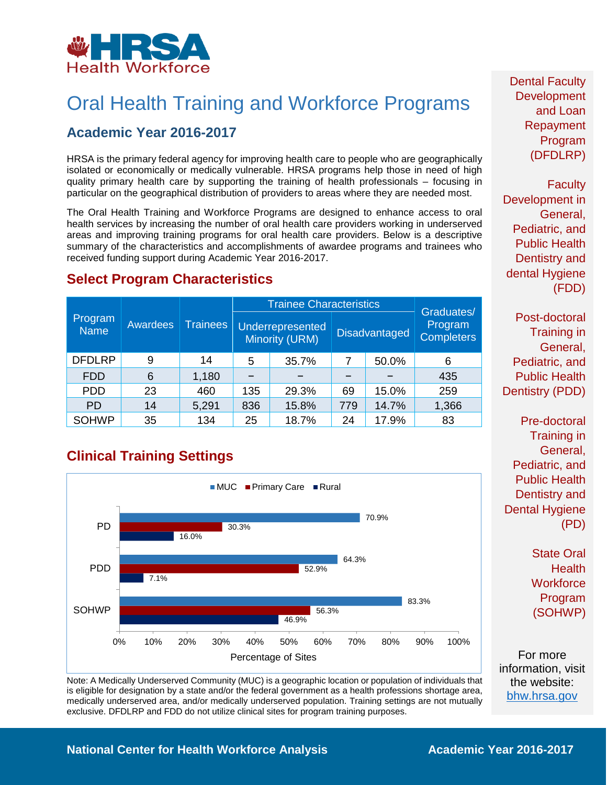

# Oral Health Training and Workforce Programs

## **Academic Year 2016-2017**

HRSA is the primary federal agency for improving health care to people who are geographically isolated or economically or medically vulnerable. HRSA programs help those in need of high quality primary health care by supporting the training of health professionals – focusing in particular on the geographical distribution of providers to areas where they are needed most.

The Oral Health Training and Workforce Programs are designed to enhance access to oral health services by increasing the number of oral health care providers working in underserved areas and improving training programs for oral health care providers. Below is a descriptive summary of the characteristics and accomplishments of awardee programs and trainees who received funding support during Academic Year 2016-2017.

## **Select Program Characteristics**

|                        | <b>Awardees</b> | <b>Trainees</b> | <b>Trainee Characteristics</b> |                                    |     |                      | Graduates/                   |
|------------------------|-----------------|-----------------|--------------------------------|------------------------------------|-----|----------------------|------------------------------|
| Program<br><b>Name</b> |                 |                 |                                | Underrepresented<br>Minority (URM) |     | <b>Disadvantaged</b> | Program<br><b>Completers</b> |
| <b>DFDLRP</b>          | 9               | 14              | 5                              | 35.7%                              | 7   | 50.0%                | 6                            |
| <b>FDD</b>             | 6               | 1,180           |                                |                                    |     |                      | 435                          |
| <b>PDD</b>             | 23              | 460             | 135                            | 29.3%                              | 69  | 15.0%                | 259                          |
| <b>PD</b>              | 14              | 5,291           | 836                            | 15.8%                              | 779 | 14.7%                | 1,366                        |
| <b>SOHWP</b>           | 35              | 134             | 25                             | 18.7%                              | 24  | 17.9%                | 83                           |

## **Clinical Training Settings**



Note: A Medically Underserved Community (MUC) is a geographic location or population of individuals that is eligible for designation by a state and/or the federal government as a health professions shortage area, medically underserved area, and/or medically underserved population. Training settings are not mutually exclusive. DFDLRP and FDD do not utilize clinical sites for program training purposes.

Dental Faculty **Development** and Loan Repayment Program (DFDLRP)

**Faculty** Development in General, Pediatric, and Public Health Dentistry and dental Hygiene (FDD)

Post-doctoral Training in General, Pediatric, and Public Health Dentistry (PDD)

Pre-doctoral Training in General, Pediatric, and Public Health Dentistry and Dental Hygiene (PD)

> State Oral **Health Workforce** Program (SOHWP)

For more information, visit the website: [bhw.hrsa.gov](http://bhw.hrsa.gov/)

#### **National Center for Health Workforce Analysis Mational Center 2016-2017**